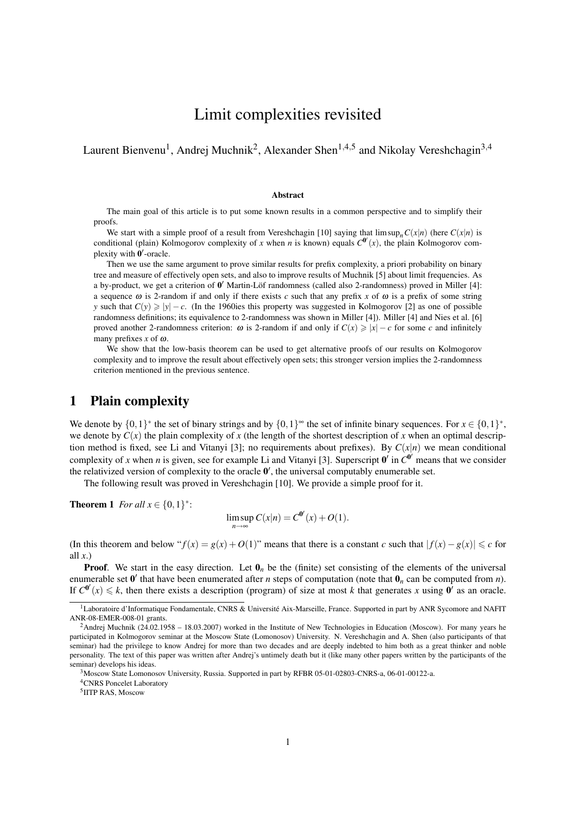# Limit complexities revisited

Laurent Bienvenu<sup>1</sup>, Andrej Muchnik<sup>2</sup>, Alexander Shen<sup>1,4,5</sup> and Nikolay Vereshchagin<sup>3,4</sup>

#### Abstract

The main goal of this article is to put some known results in a common perspective and to simplify their proofs.

We start with a simple proof of a result from Vereshchagin [10] saying that  $\limsup_n C(x|n)$  (here  $C(x|n)$  is conditional (plain) Kolmogorov complexity of *x* when *n* is known) equals  $C^{0'}(x)$ , the plain Kolmogorov complexity with  $\overline{\mathbf{0}}'$ -oracle.

Then we use the same argument to prove similar results for prefix complexity, a priori probability on binary tree and measure of effectively open sets, and also to improve results of Muchnik [5] about limit frequencies. As a by-product, we get a criterion of  $0'$  Martin-Löf randomness (called also 2-randomness) proved in Miller [4]: a sequence  $\omega$  is 2-random if and only if there exists *c* such that any prefix *x* of  $\omega$  is a prefix of some string *y* such that  $C(y) \ge |y| - c$ . (In the 1960ies this property was suggested in Kolmogorov [2] as one of possible randomness definitions; its equivalence to 2-randomness was shown in Miller [4]). Miller [4] and Nies et al. [6] proved another 2-randomness criterion:  $\omega$  is 2-random if and only if  $C(x) \ge |x| - c$  for some *c* and infinitely many prefixes *x* of ω.

We show that the low-basis theorem can be used to get alternative proofs of our results on Kolmogorov complexity and to improve the result about effectively open sets; this stronger version implies the 2-randomness criterion mentioned in the previous sentence.

#### 1 Plain complexity

We denote by  $\{0,1\}^*$  the set of binary strings and by  $\{0,1\}^*$  the set of infinite binary sequences. For  $x \in \{0,1\}^*$ , we denote by  $C(x)$  the plain complexity of x (the length of the shortest description of x when an optimal description method is fixed, see Li and Vitanyi [3]; no requirements about prefixes). By *C*(*x*|*n*) we mean conditional complexity of x when *n* is given, see for example Li and Vitanyi [3]. Superscript  $0'$  in  $C^{0'}$  means that we consider the relativized version of complexity to the oracle  $0'$ , the universal computably enumerable set.

The following result was proved in Vereshchagin [10]. We provide a simple proof for it.

**Theorem 1** *For all*  $x \in \{0, 1\}^*$ :

$$
\limsup_{n\to\infty} C(x|n) = C^{\mathbf{0}'}(x) + O(1).
$$

(In this theorem and below " $f(x) = g(x) + O(1)$ " means that there is a constant *c* such that  $|f(x) - g(x)| \leq c$  for all  $x$ .)

**Proof.** We start in the easy direction. Let  $\mathbf{0}_n$  be the (finite) set consisting of the elements of the universal enumerable set  $\mathbf{0}'$  that have been enumerated after *n* steps of computation (note that  $\mathbf{0}_n$  can be computed from *n*). If  $C^{0'}(x) \le k$ , then there exists a description (program) of size at most *k* that generates *x* using  $0'$  as an oracle.

<sup>&</sup>lt;sup>1</sup>Laboratoire d'Informatique Fondamentale, CNRS & Université Aix-Marseille, France. Supported in part by ANR Sycomore and NAFIT ANR-08-EMER-008-01 grants.

<sup>&</sup>lt;sup>2</sup>Andrej Muchnik (24.02.1958 – 18.03.2007) worked in the Institute of New Technologies in Education (Moscow). For many years he participated in Kolmogorov seminar at the Moscow State (Lomonosov) University. N. Vereshchagin and A. Shen (also participants of that seminar) had the privilege to know Andrej for more than two decades and are deeply indebted to him both as a great thinker and noble personality. The text of this paper was written after Andrej's untimely death but it (like many other papers written by the participants of the seminar) develops his ideas.

 $3M$ oscow State Lomonosov University, Russia. Supported in part by RFBR 05-01-02803-CNRS-a, 06-01-00122-a.

<sup>4</sup>CNRS Poncelet Laboratory

<sup>5</sup> IITP RAS, Moscow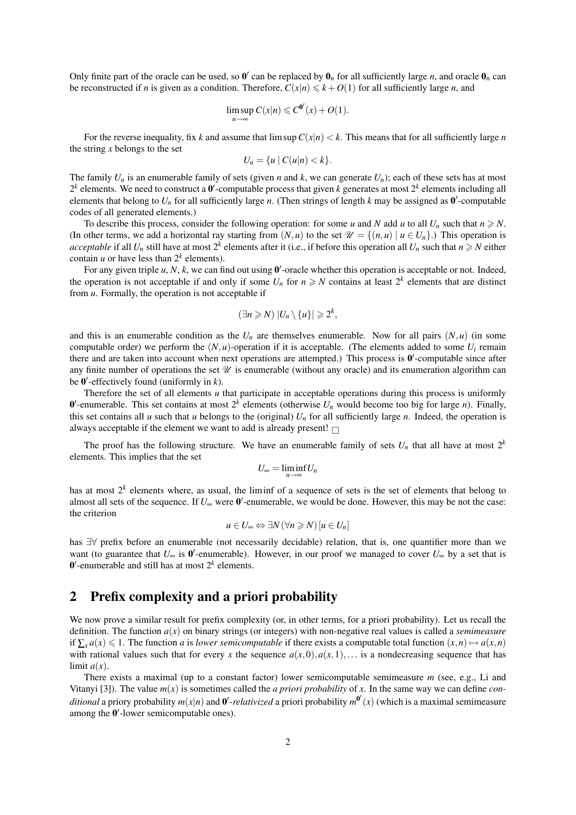Only finite part of the oracle can be used, so  $0'$  can be replaced by  $0_n$  for all sufficiently large *n*, and oracle  $0_n$  can be reconstructed if *n* is given as a condition. Therefore,  $C(x|n) \leq k + O(1)$  for all sufficiently large *n*, and

$$
\limsup_{n\to\infty} C(x|n) \leqslant C^{0'}(x) + O(1).
$$

For the reverse inequality, fix *k* and assume that  $\limsup C(x|n) < k$ . This means that for all sufficiently large *n* the string *x* belongs to the set

$$
U_n = \{u \mid C(u|n) < k\}.
$$

The family  $U_n$  is an enumerable family of sets (given *n* and *k*, we can generate  $U_n$ ); each of these sets has at most  $2^k$  elements. We need to construct a  $0'$ -computable process that given *k* generates at most  $2^k$  elements including all elements that belong to  $U_n$  for all sufficiently large *n*. (Then strings of length *k* may be assigned as  $0'$ -computable codes of all generated elements.)

To describe this process, consider the following operation: for some *u* and *N* add *u* to all  $U_n$  such that  $n \ge N$ . (In other terms, we add a horizontal ray starting from  $(N, u)$  to the set  $\mathcal{U} = \{(n, u) | u \in U_n\}$ .) This operation is *acceptable* if all  $U_n$  still have at most  $2^k$  elements after it (i.e., if before this operation all  $U_n$  such that  $n \ge N$  either contain *u* or have less than  $2^k$  elements).

For any given triple  $u, N, k$ , we can find out using  $0'$ -oracle whether this operation is acceptable or not. Indeed, the operation is not acceptable if and only if some  $U_n$  for  $n \ge N$  contains at least  $2^k$  elements that are distinct from *u*. Formally, the operation is not acceptable if

$$
(\exists n \geq N) |U_n \setminus \{u\}| \geq 2^k,
$$

and this is an enumerable condition as the  $U_n$  are themselves enumerable. Now for all pairs  $(N, u)$  (in some computable order) we perform the  $(N, u)$ -operation if it is acceptable. (The elements added to some  $U_i$  remain there and are taken into account when next operations are attempted.) This process is  $0'$ -computable since after any finite number of operations the set  $\mathcal U$  is enumerable (without any oracle) and its enumeration algorithm can be 0 0 -effectively found (uniformly in *k*).

Therefore the set of all elements  $u$  that participate in acceptable operations during this process is uniformly  $0'$ -enumerable. This set contains at most  $2^k$  elements (otherwise  $U_n$  would become too big for large *n*). Finally, this set contains all *u* such that *u* belongs to the (original)  $U_n$  for all sufficiently large *n*. Indeed, the operation is always acceptable if the element we want to add is already present!  $\Box$ 

The proof has the following structure. We have an enumerable family of sets  $U_n$  that all have at most  $2^k$ elements. This implies that the set

$$
U_{\infty}=\liminf_{n\to\infty}U_n
$$

has at most  $2^k$  elements where, as usual, the liminf of a sequence of sets is the set of elements that belong to almost all sets of the sequence. If  $U_{\infty}$  were  $\mathbf{0}'$ -enumerable, we would be done. However, this may be not the case: the criterion

$$
u\in U_{\infty}\Leftrightarrow \exists N\,(\forall n\geqslant N)\,[u\in U_n]
$$

has ∃∀ prefix before an enumerable (not necessarily decidable) relation, that is, one quantifier more than we want (to guarantee that  $U_{\infty}$  is  $0'$ -enumerable). However, in our proof we managed to cover  $U_{\infty}$  by a set that is  $0'$ -enumerable and still has at most  $2<sup>k</sup>$  elements.

# 2 Prefix complexity and a priori probability

We now prove a similar result for prefix complexity (or, in other terms, for a priori probability). Let us recall the definition. The function *a*(*x*) on binary strings (or integers) with non-negative real values is called a *semimeasure* if  $\sum_{x} a(x) \leq 1$ . The function *a* is *lower semicomputable* if there exists a computable total function  $(x, n) \mapsto a(x, n)$ with rational values such that for every x the sequence  $a(x,0), a(x,1),\ldots$  is a nondecreasing sequence that has limit  $a(x)$ .

There exists a maximal (up to a constant factor) lower semicomputable semimeasure *m* (see, e.g., Li and Vitanyi [3]). The value  $m(x)$  is sometimes called the *a priori probability* of *x*. In the same way we can define *conditional* a priory probability  $m(x|n)$  and  $0'$ -*relativized* a priori probability  $m^{0'}(x)$  (which is a maximal semimeasure among the  $0'$ -lower semicomputable ones).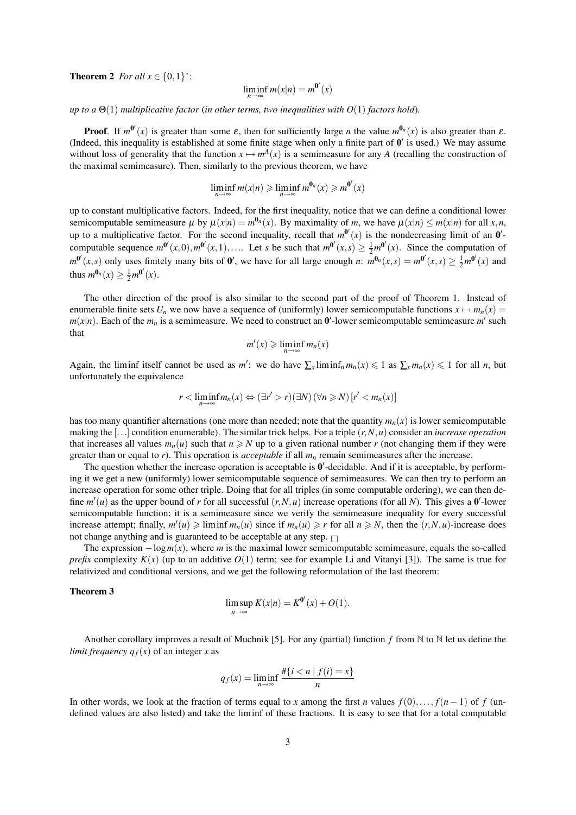**Theorem 2** *For all*  $x \in \{0, 1\}^*$ :

$$
\liminf_{n \to \infty} m(x|n) = m^{0'}(x)
$$

*up to a*  $\Theta(1)$  *multiplicative factor* (*in other terms, two inequalities with*  $O(1)$  *factors hold*).

**Proof.** If  $m^{0'}(x)$  is greater than some  $\varepsilon$ , then for sufficiently large *n* the value  $m^{0_n}(x)$  is also greater than  $\varepsilon$ . (Indeed, this inequality is established at some finite stage when only a finite part of  $0'$  is used.) We may assume without loss of generality that the function  $x \mapsto m^A(x)$  is a semimeasure for any *A* (recalling the construction of the maximal semimeasure). Then, similarly to the previous theorem, we have

$$
\liminf_{n\to\infty}m(x|n)\geqslant \liminf_{n\to\infty}m^{\mathbf{0}_n}(x)\geqslant m^{\mathbf{0}'}(x)
$$

up to constant multiplicative factors. Indeed, for the first inequality, notice that we can define a conditional lower semicomputable semimeasure  $\mu$  by  $\mu(x|n) = m^{\theta_n}(x)$ . By maximality of *m*, we have  $\mu(x|n) \le m(x|n)$  for all  $x, n$ , up to a multiplicative factor. For the second inequality, recall that  $m^{0'}(x)$  is the nondecreasing limit of an  $0'$ computable sequence  $m^{0'}(x,0), m^{0'}(x,1), \ldots$  Let *s* be such that  $m^{0'}(x,s) \ge \frac{1}{2}m^{0'}(x)$ . Since the computation of  $m^{\mathbf{0}'}(x,s)$  only uses finitely many bits of  $\mathbf{0}'$ , we have for all large enough *n*:  $m^{\mathbf{0}_n}(x,s) = m^{\mathbf{0}'}(x,s) \ge \frac{1}{2}m^{\mathbf{0}'}(x)$  and thus  $m^{\mathbf{0}_n}(x) \ge \frac{1}{2}m^{\mathbf{0}'}(x)$ .

The other direction of the proof is also similar to the second part of the proof of Theorem 1. Instead of enumerable finite sets  $U_n$  we now have a sequence of (uniformly) lower semicomputable functions  $x \mapsto m_n(x) =$  $m(x|n)$ . Each of the  $m_n$  is a semimeasure. We need to construct an  $\mathbf{0}'$ -lower semicomputable semimeasure  $m'$  such that

$$
m'(x) \geqslant \liminf_{n \to \infty} m_n(x)
$$

Again, the liminf itself cannot be used as *m'*: we do have  $\sum_{x}$ liminf<sub>n</sub>  $m_n(x) \leq 1$  as  $\sum_{x} m_n(x) \leq 1$  for all *n*, but unfortunately the equivalence

$$
r < \liminf_{n \to \infty} m_n(x) \Leftrightarrow (\exists r' > r)(\exists N) \, (\forall n \geqslant N) \, [r' < m_n(x)]
$$

has too many quantifier alternations (one more than needed; note that the quantity  $m_n(x)$  is lower semicomputable making the [...] condition enumerable). The similar trick helps. For a triple (*r*,*N*,*u*) consider an *increase operation* that increases all values  $m_n(u)$  such that  $n \geq N$  up to a given rational number r (not changing them if they were greater than or equal to  $r$ ). This operation is *acceptable* if all  $m<sub>n</sub>$  remain semimeasures after the increase.

The question whether the increase operation is acceptable is  $0'$ -decidable. And if it is acceptable, by performing it we get a new (uniformly) lower semicomputable sequence of semimeasures. We can then try to perform an increase operation for some other triple. Doing that for all triples (in some computable ordering), we can then define  $m'(u)$  as the upper bound of r for all successful  $(r, N, u)$  increase operations (for all N). This gives a  $0'$ -lower semicomputable function; it is a semimeasure since we verify the semimeasure inequality for every successful increase attempt; finally,  $m'(u) \geqslant \liminf m_n(u)$  since if  $m_n(u) \geqslant r$  for all  $n \geqslant N$ , then the  $(r, N, u)$ -increase does not change anything and is guaranteed to be acceptable at any step.  $\Box$ 

The expression  $-\log m(x)$ , where *m* is the maximal lower semicomputable semimeasure, equals the so-called *prefix* complexity  $K(x)$  (up to an additive  $O(1)$  term; see for example Li and Vitanyi [3]). The same is true for relativized and conditional versions, and we get the following reformulation of the last theorem:

#### Theorem 3

$$
\limsup_{n\to\infty} K(x|n) = K^{\mathbf{0}'}(x) + O(1).
$$

Another corollary improves a result of Muchnik [5]. For any (partial) function *f* from N to N let us define the *limit frequency*  $q_f(x)$  of an integer *x* as

$$
q_f(x) = \liminf_{n \to \infty} \frac{\#\{i < n \mid f(i) = x\}}{n}
$$

In other words, we look at the fraction of terms equal to *x* among the first *n* values  $f(0),..., f(n-1)$  of *f* (undefined values are also listed) and take the liminf of these fractions. It is easy to see that for a total computable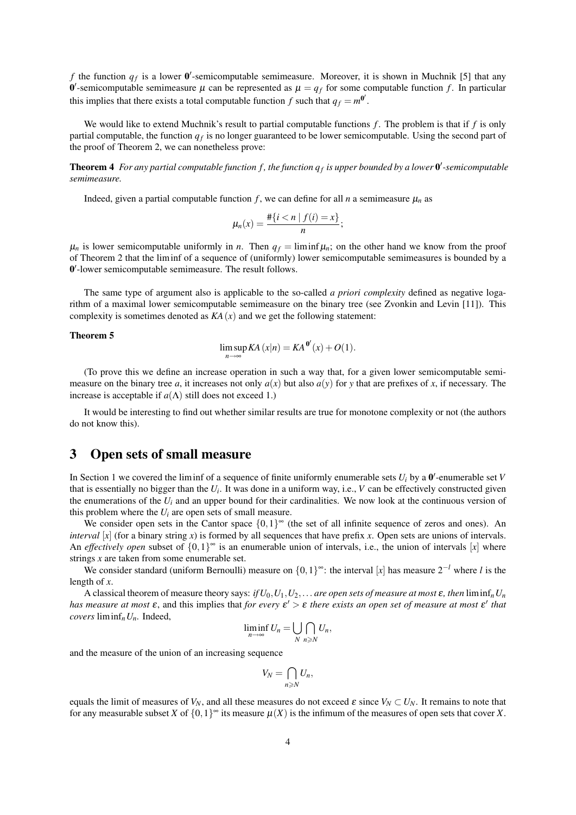*f* the function  $q_f$  is a lower  $\mathbf{0}'$ -semicomputable semimeasure. Moreover, it is shown in Muchnik [5] that any 0'-semicomputable semimeasure  $\mu$  can be represented as  $\mu = q_f$  for some computable function f. In particular this implies that there exists a total computable function *f* such that  $q_f = m^{0'}$ .

We would like to extend Muchnik's result to partial computable functions *f*. The problem is that if *f* is only partial computable, the function *q<sup>f</sup>* is no longer guaranteed to be lower semicomputable. Using the second part of the proof of Theorem 2, we can nonetheless prove:

**Theorem 4** For any partial computable function f, the function  $q_f$  is upper bounded by a lower  $\theta'$ -semicomputable *semimeasure.*

Indeed, given a partial computable function  $f$ , we can define for all  $n$  a semimeasure  $\mu_n$  as

$$
\mu_n(x)=\frac{\#\{i\leq n\mid f(i)=x\}}{n};
$$

 $\mu_n$  is lower semicomputable uniformly in *n*. Then  $q_f = \liminf \mu_n$ ; on the other hand we know from the proof of Theorem 2 that the liminf of a sequence of (uniformly) lower semicomputable semimeasures is bounded by a 0 0 -lower semicomputable semimeasure. The result follows.

The same type of argument also is applicable to the so-called *a priori complexity* defined as negative logarithm of a maximal lower semicomputable semimeasure on the binary tree (see Zvonkin and Levin [11]). This complexity is sometimes denoted as  $KA(x)$  and we get the following statement:

#### Theorem 5

$$
\limsup_{n \to \infty} KA(x|n) = KA^{0'}(x) + O(1).
$$

(To prove this we define an increase operation in such a way that, for a given lower semicomputable semimeasure on the binary tree *a*, it increases not only  $a(x)$  but also  $a(y)$  for *y* that are prefixes of *x*, if necessary. The increase is acceptable if  $a(\Lambda)$  still does not exceed 1.)

It would be interesting to find out whether similar results are true for monotone complexity or not (the authors do not know this).

## 3 Open sets of small measure

In Section 1 we covered the liminf of a sequence of finite uniformly enumerable sets  $U_i$  by a  $0'$ -enumerable set  $V$ that is essentially no bigger than the  $U_i$ . It was done in a uniform way, i.e.,  $V$  can be effectively constructed given the enumerations of the  $U_i$  and an upper bound for their cardinalities. We now look at the continuous version of this problem where the  $U_i$  are open sets of small measure.

We consider open sets in the Cantor space  $\{0,1\}^{\infty}$  (the set of all infinite sequence of zeros and ones). An *interval* [x] (for a binary string x) is formed by all sequences that have prefix x. Open sets are unions of intervals. An *effectively open* subset of  $\{0,1\}^{\infty}$  is an enumerable union of intervals, i.e., the union of intervals [x] where strings *x* are taken from some enumerable set.

We consider standard (uniform Bernoulli) measure on {0,1} <sup>∞</sup>: the interval [*x*] has measure 2−*<sup>l</sup>* where *l* is the length of *x*.

A classical theorem of measure theory says: *if*  $U_0, U_1, U_2, \ldots$  *are open sets of measure at most*  $\varepsilon$ *, then*  $\liminf_n U_n$ *has measure at most*  $\varepsilon$ , and this implies that *for every*  $\varepsilon' > \varepsilon$  *there exists an open set of measure at most*  $\varepsilon'$  *that covers* liminf*nUn.* Indeed,

$$
\liminf_{n\to\infty} U_n = \bigcup_{N} \bigcap_{n\geqslant N} U_n,
$$

and the measure of the union of an increasing sequence

$$
V_N=\bigcap_{n\geqslant N}U_n,
$$

equals the limit of measures of  $V_N$ , and all these measures do not exceed  $\varepsilon$  since  $V_N \subset U_N$ . It remains to note that for any measurable subset *X* of  $\{0,1\}^{\infty}$  its measure  $\mu(X)$  is the infimum of the measures of open sets that cover *X*.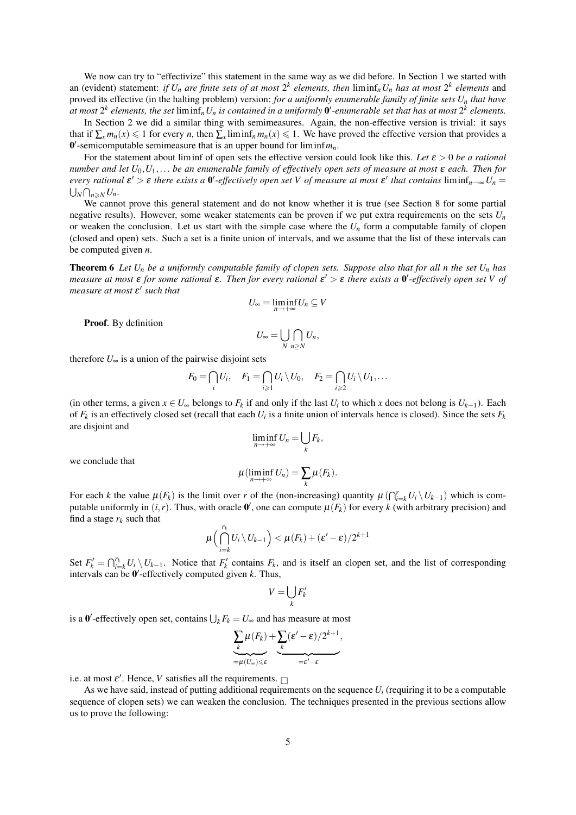We now can try to "effectivize" this statement in the same way as we did before. In Section 1 we started with an (evident) statement: *if*  $U_n$  *are finite sets of at most*  $2^k$  *elements, then*  $\liminf_n U_n$  *has at most*  $2^k$  *elements* and proved its effective (in the halting problem) version: *for a uniformly enumerable family of finite sets U<sup>n</sup> that have* at most  $2^k$  elements, the set  $\liminf_n U_n$  is contained in a uniformly  $0'$ -enumerable set that has at most  $2^k$  elements.

In Section 2 we did a similar thing with semimeasures. Again, the non-effective version is trivial: it says that if  $\sum_{x} m_n(x) \leq 1$  for every *n*, then  $\sum_{x} \liminf_{n} m_n(x) \leq 1$ . We have proved the effective version that provides a  $0'$ -semicomputable semimeasure that is an upper bound for  $\liminf m_n$ .

For the statement about liminf of open sets the effective version could look like this. *Let* ε > 0 *be a rational number and let U*0,*U*1,... *be an enumerable family of effectively open sets of measure at most* ε *each. Then for every rational*  $\varepsilon' > \varepsilon$  *there exists a*  $0'$ -effectively open set V of measure at most  $\varepsilon'$  that contains  $\liminf_{n\to\infty}U_n =$  $\bigcup_N \bigcap_{n \geqslant N} U_n$ .

We cannot prove this general statement and do not know whether it is true (see Section 8 for some partial negative results). However, some weaker statements can be proven if we put extra requirements on the sets *U<sup>n</sup>* or weaken the conclusion. Let us start with the simple case where the  $U_n$  form a computable family of clopen (closed and open) sets. Such a set is a finite union of intervals, and we assume that the list of these intervals can be computed given *n*.

Theorem 6 *Let U<sup>n</sup> be a uniformly computable family of clopen sets. Suppose also that for all n the set U<sup>n</sup> has measure at most* **ε** *for some rational* **ε**. Then for every rational **ε'** > **ε** there exists a **0'**-effectively open set V of measure at most  $ε'$  such that

$$
U_{\infty}=\liminf_{n\to+\infty}U_n\subseteq V
$$

Proof. By definition

$$
U_{\infty}=\bigcup_{N}\bigcap_{n\geq N}U_n,
$$

therefore  $U_{\infty}$  is a union of the pairwise disjoint sets

$$
F_0 = \bigcap_i U_i, \quad F_1 = \bigcap_{i \geq 1} U_i \setminus U_0, \quad F_2 = \bigcap_{i \geq 2} U_i \setminus U_1, \ldots
$$

(in other terms, a given  $x \in U_\infty$  belongs to  $F_k$  if and only if the last  $U_i$  to which  $x$  does not belong is  $U_{k-1}$ ). Each of  $F_k$  is an effectively closed set (recall that each  $U_i$  is a finite union of intervals hence is closed). Since the sets  $F_k$ are disjoint and

$$
\liminf_{n\to+\infty}U_n=\bigcup_k F_k,
$$

we conclude that

$$
\mu(\liminf_{n\to+\infty}U_n)=\sum_k\mu(F_k).
$$

For each *k* the value  $\mu(F_k)$  is the limit over *r* of the (non-increasing) quantity  $\mu(\bigcap_{i=k}^r U_i \setminus U_{k-1})$  which is computable uniformly in  $(i, r)$ . Thus, with oracle  $\theta'$ , one can compute  $\mu(F_k)$  for every  $k$  (with arbitrary precision) and find a stage  $r_k$  such that

$$
\mu\left(\bigcap_{i=k}^{r_k} U_i \setminus U_{k-1}\right) < \mu(F_k) + (\varepsilon' - \varepsilon)/2^{k+1}
$$

Set  $F'_k = \bigcap_{i=k}^{r_k} U_i \setminus U_{k-1}$ . Notice that  $F'_k$  contains  $F_k$ , and is itself an clopen set, and the list of corresponding intervals can be  $\mathbf{0}'$ -effectively computed given *k*. Thus,

$$
V=\bigcup_k F'_k
$$

is a  $\mathbf{0}'$ -effectively open set, contains  $\bigcup_k F_k = U_\infty$  and has measure at most

$$
\underbrace{\sum_{k} \mu(F_k)}_{=\mu(U_{\infty}) \leq \varepsilon} + \underbrace{\sum_{k} (\varepsilon' - \varepsilon)/2^{k+1}}_{=\varepsilon' - \varepsilon},
$$

i.e. at most  $\varepsilon'$ . Hence, *V* satisfies all the requirements.

As we have said, instead of putting additional requirements on the sequence  $U_i$  (requiring it to be a computable sequence of clopen sets) we can weaken the conclusion. The techniques presented in the previous sections allow us to prove the following: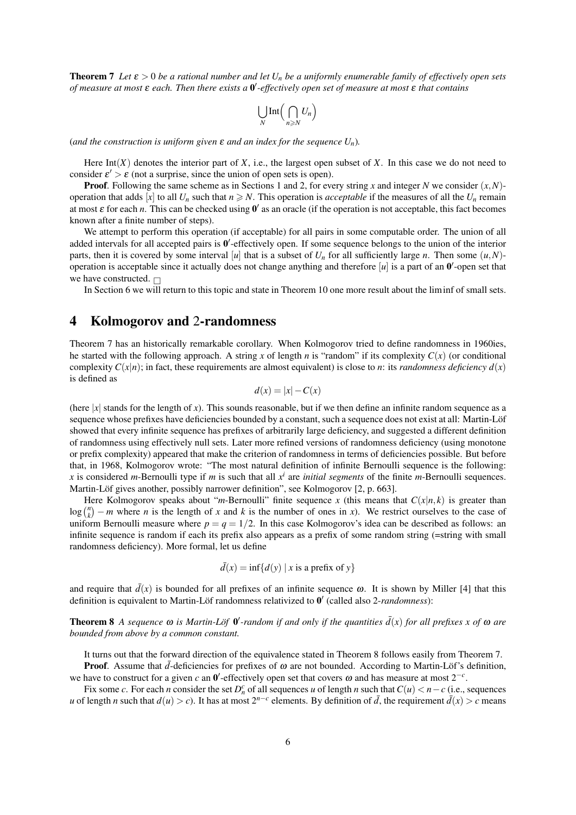**Theorem 7** *Let*  $\varepsilon > 0$  *be a rational number and let*  $U_n$  *be a uniformly enumerable family of effectively open sets of measure at most* ε *each. Then there exists a* 0 0 *-effectively open set of measure at most* ε *that contains*

$$
\bigcup_N \text{Int}\Big(\bigcap_{n\geqslant N} U_n\Big)
$$

(*and the construction is uniform given*  $\varepsilon$  *and an index for the sequence*  $U_n$ *).* 

Here  $Int(X)$  denotes the interior part of  $X$ , i.e., the largest open subset of  $X$ . In this case we do not need to consider  $\varepsilon' > \varepsilon$  (not a surprise, since the union of open sets is open).

**Proof.** Following the same scheme as in Sections 1 and 2, for every string *x* and integer *N* we consider  $(x, N)$ operation that adds [*x*] to all  $U_n$  such that  $n \ge N$ . This operation is *acceptable* if the measures of all the  $U_n$  remain at most  $\varepsilon$  for each *n*. This can be checked using  $0'$  as an oracle (if the operation is not acceptable, this fact becomes known after a finite number of steps).

We attempt to perform this operation (if acceptable) for all pairs in some computable order. The union of all added intervals for all accepted pairs is  $0'$ -effectively open. If some sequence belongs to the union of the interior parts, then it is covered by some interval [*u*] that is a subset of  $U_n$  for all sufficiently large *n*. Then some  $(u, N)$ operation is acceptable since it actually does not change anything and therefore  $[u]$  is a part of an  $0'$ -open set that we have constructed.  $\Box$ 

In Section 6 we will return to this topic and state in Theorem 10 one more result about the liminf of small sets.

#### 4 Kolmogorov and 2-randomness

Theorem 7 has an historically remarkable corollary. When Kolmogorov tried to define randomness in 1960ies, he started with the following approach. A string x of length *n* is "random" if its complexity  $C(x)$  (or conditional complexity  $C(x|n)$ ; in fact, these requirements are almost equivalent) is close to *n*: its *randomness deficiency*  $d(x)$ is defined as

$$
d(x) = |x| - C(x)
$$

(here  $|x|$  stands for the length of *x*). This sounds reasonable, but if we then define an infinite random sequence as a sequence whose prefixes have deficiencies bounded by a constant, such a sequence does not exist at all: Martin-Löf showed that every infinite sequence has prefixes of arbitrarily large deficiency, and suggested a different definition of randomness using effectively null sets. Later more refined versions of randomness deficiency (using monotone or prefix complexity) appeared that make the criterion of randomness in terms of deficiencies possible. But before that, in 1968, Kolmogorov wrote: "The most natural definition of infinite Bernoulli sequence is the following: *x* is considered *m*-Bernoulli type if *m* is such that all  $x^i$  are *initial segments* of the finite *m*-Bernoulli sequences. Martin-Löf gives another, possibly narrower definition", see Kolmogorov [2, p. 663].

Here Kolmogorov speaks about "*m*-Bernoulli" finite sequence *x* (this means that  $C(x|n, k)$  is greater than  $\log {n \choose k} - m$  where *n* is the length of *x* and *k* is the number of ones in *x*). We restrict ourselves to the case of uniform Bernoulli measure where  $p = q = 1/2$ . In this case Kolmogorov's idea can be described as follows: an infinite sequence is random if each its prefix also appears as a prefix of some random string (=string with small randomness deficiency). More formal, let us define

$$
\bar{d}(x) = \inf\{d(y) \mid x \text{ is a prefix of } y\}
$$

and require that  $\bar{d}(x)$  is bounded for all prefixes of an infinite sequence  $\omega$ . It is shown by Miller [4] that this definition is equivalent to Martin-Löf randomness relativized to  $0'$  (called also 2-*randomness*):

**Theorem 8** A sequence  $\omega$  is Martin-Löf  $\theta'$ -random if and only if the quantities  $\bar{d}(x)$  for all prefixes x of  $\omega$  are *bounded from above by a common constant.*

It turns out that the forward direction of the equivalence stated in Theorem 8 follows easily from Theorem 7.

**Proof.** Assume that  $\bar{d}$ -deficiencies for prefixes of  $\omega$  are not bounded. According to Martin-Löf's definition, we have to construct for a given *c* an  $0'$ -effectively open set that covers  $\omega$  and has measure at most  $2^{-c}$ .

Fix some *c*. For each *n* consider the set  $D_n^c$  of all sequences *u* of length *n* such that  $C(u) < n - c$  (i.e., sequences *u* of length *n* such that  $d(u) > c$ ). It has at most  $2^{n-c}$  elements. By definition of  $\bar{d}$ , the requirement  $\bar{d}(x) > c$  means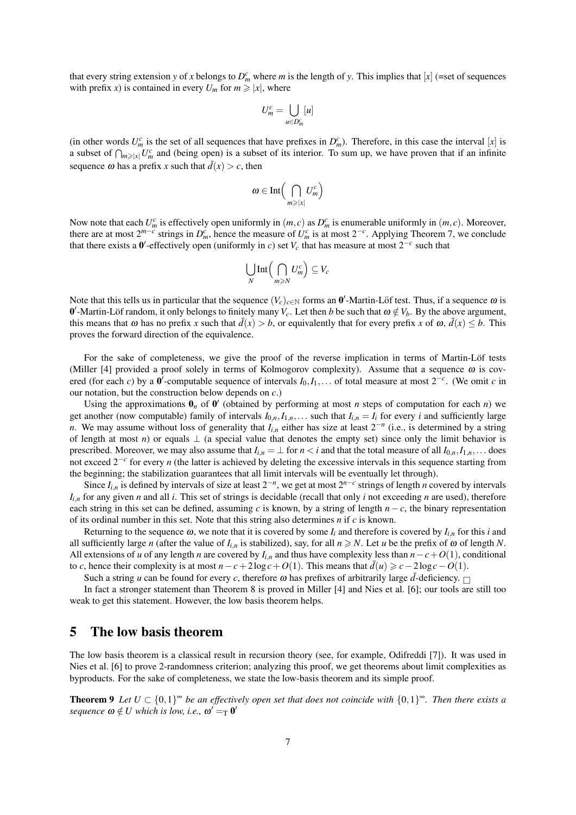that every string extension *y* of *x* belongs to  $D_m^c$  where *m* is the length of *y*. This implies that [*x*] (=set of sequences with prefix *x*) is contained in every  $U_m$  for  $m \ge |x|$ , where

$$
U_m^c = \bigcup_{u \in D_m^c} [u]
$$

(in other words  $U_m^c$  is the set of all sequences that have prefixes in  $D_m^c$ ). Therefore, in this case the interval [*x*] is a subset of  $\bigcap_{m\geqslant|x|}U_m^c$  and (being open) is a subset of its interior. To sum up, we have proven that if an infinite sequence  $\omega$  has a prefix *x* such that  $\overline{d}(x) > c$ , then

$$
\omega\in\mathrm{Int}\Big(\bigcap_{m\geqslant|x|}U_m^c\Big)
$$

Now note that each  $U_m^c$  is effectively open uniformly in  $(m, c)$  as  $D_m^c$  is enumerable uniformly in  $(m, c)$ . Moreover, there are at most  $2^{m-c}$  strings in  $D_m^c$ , hence the measure of  $U_m^c$  is at most  $2^{-c}$ . Applying Theorem 7, we conclude that there exists a  $0'$ -effectively open (uniformly in *c*) set  $V_c$  that has measure at most  $2^{-c}$  such that

$$
\bigcup_N \text{Int}\Big(\bigcap_{m\geqslant N} U_m^c\Big) \subseteq V_c
$$

Note that this tells us in particular that the sequence  $(V_c)_{c \in \mathbb{N}}$  forms an  $0'$ -Martin-Löf test. Thus, if a sequence  $\omega$  is 0'-Martin-Löf random, it only belongs to finitely many  $V_c$ . Let then *b* be such that  $\omega \notin V_b$ . By the above argument, this means that  $\omega$  has no prefix *x* such that  $d(x) > b$ , or equivalently that for every prefix *x* of  $\omega$ ,  $d(x) \leq b$ . This proves the forward direction of the equivalence.

For the sake of completeness, we give the proof of the reverse implication in terms of Martin-Löf tests (Miller [4] provided a proof solely in terms of Kolmogorov complexity). Assume that a sequence  $\omega$  is covered (for each *c*) by a  $0'$ -computable sequence of intervals  $I_0, I_1, \ldots$  of total measure at most  $2^{-c}$ . (We omit *c* in our notation, but the construction below depends on *c*.)

Using the approximations  $\mathbf{0}_n$  of  $\mathbf{0}'$  (obtained by performing at most *n* steps of computation for each *n*) we get another (now computable) family of intervals  $I_{0,n}, I_{1,n}, \ldots$  such that  $I_{i,n} = I_i$  for every *i* and sufficiently large *n*. We may assume without loss of generality that  $I_{i,n}$  either has size at least  $2^{-n}$  (i.e., is determined by a string of length at most *n*) or equals  $\perp$  (a special value that denotes the empty set) since only the limit behavior is prescribed. Moreover, we may also assume that  $I_{i,n} = \perp$  for  $n < i$  and that the total measure of all  $I_{0,n}, I_{1,n}$ ... does not exceed 2−*<sup>c</sup>* for every *n* (the latter is achieved by deleting the excessive intervals in this sequence starting from the beginning; the stabilization guarantees that all limit intervals will be eventually let through).

Since  $I_{i,n}$  is defined by intervals of size at least  $2^{-n}$ , we get at most  $2^{n-c}$  strings of length *n* covered by intervals  $I_{i,n}$  for any given *n* and all *i*. This set of strings is decidable (recall that only *i* not exceeding *n* are used), therefore each string in this set can be defined, assuming *c* is known, by a string of length *n*−*c*, the binary representation of its ordinal number in this set. Note that this string also determines *n* if *c* is known.

Returning to the sequence  $\omega$ , we note that it is covered by some  $I_i$  and therefore is covered by  $I_{i,n}$  for this *i* and all sufficiently large *n* (after the value of  $I_{i,n}$  is stabilized), say, for all  $n \ge N$ . Let *u* be the prefix of  $\omega$  of length *N*. All extensions of *u* of any length *n* are covered by  $I_{i,n}$  and thus have complexity less than  $n - c + O(1)$ , conditional to *c*, hence their complexity is at most  $n - c + 2\log c + O(1)$ . This means that  $d(u) \geq c - 2\log c - O(1)$ .

Such a string *u* can be found for every *c*, therefore  $\omega$  has prefixes of arbitrarily large  $\bar{d}$ -deficiency.

In fact a stronger statement than Theorem 8 is proved in Miller [4] and Nies et al. [6]; our tools are still too weak to get this statement. However, the low basis theorem helps.

#### 5 The low basis theorem

The low basis theorem is a classical result in recursion theory (see, for example, Odifreddi [7]). It was used in Nies et al. [6] to prove 2-randomness criterion; analyzing this proof, we get theorems about limit complexities as byproducts. For the sake of completeness, we state the low-basis theorem and its simple proof.

**Theorem 9** Let  $U \subset \{0,1\}^\infty$  be an effectively open set that does not coincide with  $\{0,1\}^\infty$ . Then there exists a  $sequence \omega \notin U$  which is low, i.e.,  $\omega' =_T 0'$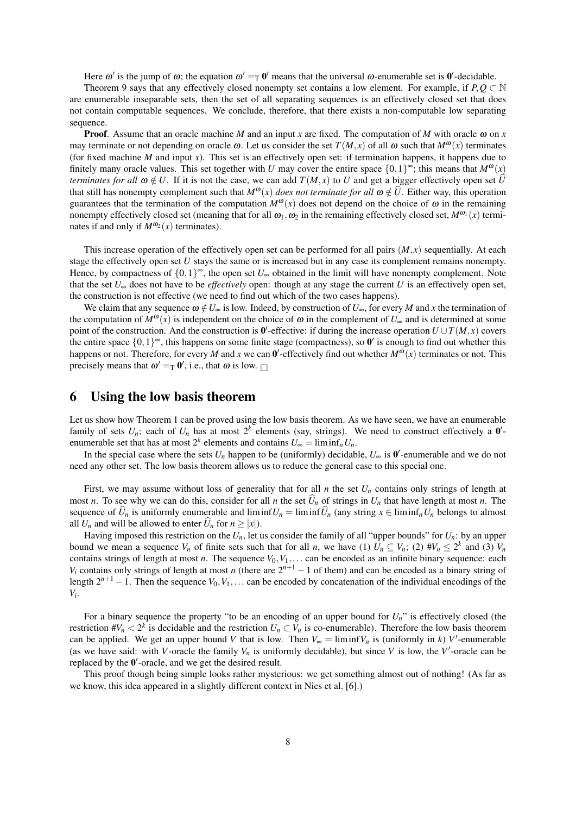Here  $\omega'$  is the jump of  $\omega$ ; the equation  $\omega' =_T 0'$  means that the universal  $\omega$ -enumerable set is  $0'$ -decidable.

Theorem 9 says that any effectively closed nonempty set contains a low element. For example, if  $P, Q \subset \mathbb{N}$ are enumerable inseparable sets, then the set of all separating sequences is an effectively closed set that does not contain computable sequences. We conclude, therefore, that there exists a non-computable low separating sequence.

**Proof.** Assume that an oracle machine *M* and an input *x* are fixed. The computation of *M* with oracle  $\omega$  on *x* may terminate or not depending on oracle  $\omega$ . Let us consider the set  $T(M, x)$  of all  $\omega$  such that  $M^{\omega}(x)$  terminates (for fixed machine *M* and input *x*). This set is an effectively open set: if termination happens, it happens due to finitely many oracle values. This set together with *U* may cover the entire space  $\{0,1\}^{\infty}$ ; this means that  $M^{\omega}(x)$ *terminates for all*  $\omega \notin U$ . If it is not the case, we can add  $T(M, x)$  to U and get a bigger effectively open set  $\hat{U}$ that still has nonempty complement such that  $M^{\omega}(x)$  *does not terminate for all*  $\omega \notin \hat{U}$ . Either way, this operation guarantees that the termination of the computation  $M^{\omega}(x)$  does not depend on the choice of  $\omega$  in the remaining nonempty effectively closed set (meaning that for all  $\omega_1, \omega_2$  in the remaining effectively closed set,  $M^{\omega_1}(x)$  terminates if and only if  $M^{\omega_2}(x)$  terminates).

This increase operation of the effectively open set can be performed for all pairs  $(M, x)$  sequentially. At each stage the effectively open set *U* stays the same or is increased but in any case its complement remains nonempty. Hence, by compactness of  $\{0,1\}^{\infty}$ , the open set  $U_{\infty}$  obtained in the limit will have nonempty complement. Note that the set  $U_{\infty}$  does not have to be *effectively* open: though at any stage the current *U* is an effectively open set, the construction is not effective (we need to find out which of the two cases happens).

We claim that any sequence  $\omega \notin U_{\infty}$  is low. Indeed, by construction of  $U_{\infty}$ , for every *M* and *x* the termination of the computation of  $M^{\omega}(x)$  is independent on the choice of  $\omega$  in the complement of  $U_{\infty}$  and is determined at some point of the construction. And the construction is  $\mathbf{0}'$ -effective: if during the increase operation  $U \cup T(M, x)$  covers the entire space  $\{0,1\}^{\infty}$ , this happens on some finite stage (compactness), so  $\mathbf{0}'$  is enough to find out whether this happens or not. Therefore, for every *M* and *x* we can  $0'$ -effectively find out whether  $M^{\omega}(x)$  terminates or not. This precisely means that  $\omega' =_{\text{T}} \mathbf{0}'$ , i.e., that  $\omega$  is low.

### 6 Using the low basis theorem

Let us show how Theorem 1 can be proved using the low basis theorem. As we have seen, we have an enumerable family of sets  $U_n$ ; each of  $U_n$  has at most  $2^k$  elements (say, strings). We need to construct effectively a  $0'$ enumerable set that has at most  $2^k$  elements and contains  $U_{\infty} = \liminf_n U_n$ .

In the special case where the sets  $U_n$  happen to be (uniformly) decidable,  $U_\infty$  is  $\mathbf{0}'$ -enumerable and we do not need any other set. The low basis theorem allows us to reduce the general case to this special one.

First, we may assume without loss of generality that for all  $n$  the set  $U_n$  contains only strings of length at most *n*. To see why we can do this, consider for all *n* the set  $\hat{U}_n$  of strings in  $U_n$  that have length at most *n*. The sequence of  $\hat{U}_n$  is uniformly enumerable and liminf  $U_n = \liminf \hat{U}_n$  (any string  $x \in \liminf_n U_n$  belongs to almost all  $U_n$  and will be allowed to enter  $\hat{U}_n$  for  $n \geq |x|$ ).

Having imposed this restriction on the  $U_n$ , let us consider the family of all "upper bounds" for  $U_n$ : by an upper bound we mean a sequence  $V_n$  of finite sets such that for all *n*, we have (1)  $U_n \subseteq V_n$ ; (2)  $\#V_n \leq 2^k$  and (3)  $V_n$ contains strings of length at most *n*. The sequence  $V_0, V_1, \ldots$  can be encoded as an infinite binary sequence: each *V*<sup>*i*</sup> contains only strings of length at most *n* (there are  $2^{n+1} - 1$  of them) and can be encoded as a binary string of length  $2^{n+1} - 1$ . Then the sequence  $V_0, V_1, \ldots$  can be encoded by concatenation of the individual encodings of the *Vi* .

For a binary sequence the property "to be an encoding of an upper bound for *Un*" is effectively closed (the restriction  $\#V_n < 2^k$  is decidable and the restriction  $U_n \subset V_n$  is co-enumerable). Therefore the low basis theorem can be applied. We get an upper bound *V* that is low. Then  $V_{\infty} = \liminf V_n$  is (uniformly in *k*) *V*'-enumerable (as we have said: with *V*-oracle the family  $V_n$  is uniformly decidable), but since *V* is low, the *V*'-oracle can be replaced by the  $0'$ -oracle, and we get the desired result.

This proof though being simple looks rather mysterious: we get something almost out of nothing! (As far as we know, this idea appeared in a slightly different context in Nies et al. [6].)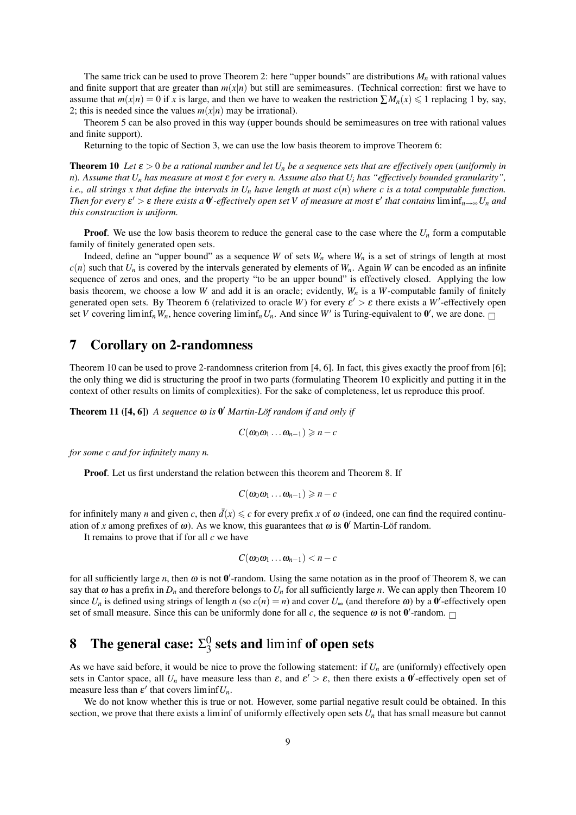The same trick can be used to prove Theorem 2: here "upper bounds" are distributions *M<sup>n</sup>* with rational values and finite support that are greater than  $m(x|n)$  but still are semimeasures. (Technical correction: first we have to assume that  $m(x|n) = 0$  if *x* is large, and then we have to weaken the restriction  $\sum M_n(x) \le 1$  replacing 1 by, say, 2; this is needed since the values  $m(x|n)$  may be irrational).

Theorem 5 can be also proved in this way (upper bounds should be semimeasures on tree with rational values and finite support).

Returning to the topic of Section 3, we can use the low basis theorem to improve Theorem 6:

**Theorem 10** Let  $\varepsilon > 0$  be a rational number and let  $U_n$  be a sequence sets that are effectively open (uniformly in *n*)*. Assume that U<sup>n</sup> has measure at most* ε *for every n. Assume also that U<sup>i</sup> has "effectively bounded granularity", i.e., all strings x that define the intervals in*  $U_n$  *have length at most*  $c(n)$  where c is a total computable function. *Then for every*  $\varepsilon' > \varepsilon$  *there exists a*  $0'$ -effectively open set V of measure at most  $\varepsilon'$  that contains  $\liminf_{n\to\infty}U_n$  and *this construction is uniform.*

**Proof.** We use the low basis theorem to reduce the general case to the case where the  $U_n$  form a computable family of finitely generated open sets.

Indeed, define an "upper bound" as a sequence *W* of sets  $W_n$  where  $W_n$  is a set of strings of length at most  $c(n)$  such that  $U_n$  is covered by the intervals generated by elements of  $W_n$ . Again *W* can be encoded as an infinite sequence of zeros and ones, and the property "to be an upper bound" is effectively closed. Applying the low basis theorem, we choose a low *W* and add it is an oracle; evidently,  $W_n$  is a *W*-computable family of finitely generated open sets. By Theorem 6 (relativized to oracle W) for every  $\varepsilon' > \varepsilon$  there exists a W'-effectively open set *V* covering liminf<sub>*n*</sub>*W<sub>n</sub>*, hence covering liminf<sub>*n</sub>U<sub>n</sub>*. And since *W'* is Turing-equivalent to  $0'$ , we are done.</sub>

### 7 Corollary on 2-randomness

Theorem 10 can be used to prove 2-randomness criterion from [4, 6]. In fact, this gives exactly the proof from [6]; the only thing we did is structuring the proof in two parts (formulating Theorem 10 explicitly and putting it in the context of other results on limits of complexities). For the sake of completeness, let us reproduce this proof.

**Theorem 11** ( $[4, 6]$ ) *A sequence*  $\omega$  *is*  $\theta'$  *Martin-Löf random if and only if* 

 $C(\omega_0\omega_1\ldots\omega_{n-1}) \geqslant n-c$ 

*for some c and for infinitely many n.*

Proof. Let us first understand the relation between this theorem and Theorem 8. If

$$
C(\omega_0\omega_1\ldots\omega_{n-1})\geqslant n-c
$$

for infinitely many *n* and given *c*, then  $\bar{d}(x) \leq c$  for every prefix *x* of  $\omega$  (indeed, one can find the required continuation of *x* among prefixes of  $\omega$ ). As we know, this guarantees that  $\omega$  is  $\theta'$  Martin-Löf random.

It remains to prove that if for all *c* we have

$$
C(\omega_0\omega_1\ldots\omega_{n-1})
$$

for all sufficiently large *n*, then  $\omega$  is not  $0'$ -random. Using the same notation as in the proof of Theorem 8, we can say that  $\omega$  has a prefix in  $D_n$  and therefore belongs to  $U_n$  for all sufficiently large *n*. We can apply then Theorem 10 since  $U_n$  is defined using strings of length *n* (so  $c(n) = n$ ) and cover  $U_\infty$  (and therefore  $\omega$ ) by a  $0'$ -effectively open set of small measure. Since this can be uniformly done for all *c*, the sequence  $\omega$  is not  $\mathbf{0}'$ -random.

#### **8** The general case:  $\Sigma_3^0$  $\frac{0}{3}$  sets and liminf of open sets

As we have said before, it would be nice to prove the following statement: if  $U_n$  are (uniformly) effectively open sets in Cantor space, all  $U_n$  have measure less than  $\varepsilon$ , and  $\varepsilon' > \varepsilon$ , then there exists a  $0'$ -effectively open set of measure less than  $\varepsilon'$  that covers liminf  $U_n$ .

We do not know whether this is true or not. However, some partial negative result could be obtained. In this section, we prove that there exists a liminf of uniformly effectively open sets  $U_n$  that has small measure but cannot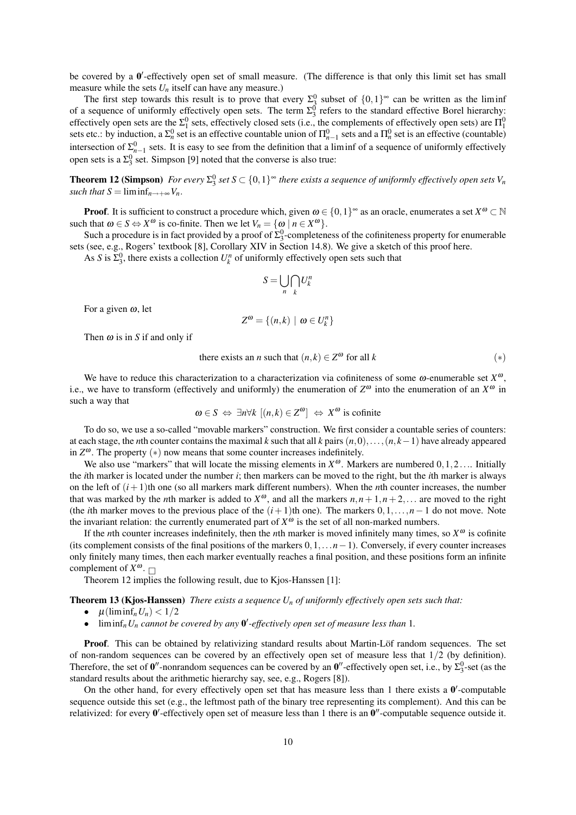be covered by a  $0'$ -effectively open set of small measure. (The difference is that only this limit set has small measure while the sets  $U_n$  itself can have any measure.)

The first step towards this result is to prove that every  $\Sigma_3^0$  subset of  $\{0,1\}^\infty$  can be written as the liminf of a sequence of uniformly effectively open sets. The term  $\Sigma_3^0$  refers to the standard effective Borel hierarchy: effectively open sets are the  $\Sigma_1^0$  sets, effectively closed sets (i.e., the complements of effectively open sets) are  $\Pi_1^0$ sets etc.: by induction, a  $\Sigma_n^0$  set is an effective countable union of  $\Pi_{n-1}^0$  sets and a  $\Pi_n^0$  set is an effective (countable) intersection of  $\Sigma_{n-1}^0$  sets. It is easy to see from the definition that a liminf of a sequence of uniformly effectively open sets is a  $\Sigma_3^0$  set. Simpson [9] noted that the converse is also true:

**Theorem 12 (Simpson)** For every  $\Sigma_3^0$  set  $S \subset \{0,1\}^\infty$  there exists a sequence of uniformly effectively open sets  $V_n$ *such that*  $S = \liminf_{n \to +\infty} V_n$ .

**Proof.** It is sufficient to construct a procedure which, given  $\omega \in \{0,1\}^\infty$  as an oracle, enumerates a set  $X^\omega \subset \mathbb{N}$ such that  $\omega \in S \Leftrightarrow X^{\omega}$  is co-finite. Then we let  $V_n = {\omega \mid n \in X^{\omega}}$ .

Such a procedure is in fact provided by a proof of  $\Sigma_3^0$ -completeness of the cofiniteness property for enumerable sets (see, e.g., Rogers' textbook [8], Corollary XIV in Section 14.8). We give a sketch of this proof here.

As *S* is  $\Sigma_3^0$ , there exists a collection  $U_k^n$  of uniformly effectively open sets such that

$$
S=\bigcup_n\bigcap_k U_k^n
$$

For a given  $\omega$ , let

$$
Z^{\omega} = \{(n,k) \mid \omega \in U_k^n\}
$$

Then  $\omega$  is in *S* if and only if

there exists an *n* such that 
$$
(n,k) \in \mathbb{Z}^{\omega}
$$
 for all *k*  $(*)$ 

We have to reduce this characterization to a characterization via cofiniteness of some  $\omega$ -enumerable set  $X^{\omega}$ , i.e., we have to transform (effectively and uniformly) the enumeration of  $Z^{\omega}$  into the enumeration of an  $X^{\omega}$  in such a way that

$$
\omega \in S \Leftrightarrow \exists n \forall k \ [(n,k) \in Z^{\omega}] \Leftrightarrow X^{\omega}
$$
 is cofinite

To do so, we use a so-called "movable markers" construction. We first consider a countable series of counters: at each stage, the *n*th counter contains the maximal *k* such that all *k* pairs (*n*,0),...,(*n*, *k*−1) have already appeared in  $Z^{\omega}$ . The property  $(*)$  now means that some counter increases indefinitely.

We also use "markers" that will locate the missing elements in  $X^{\omega}$ . Markers are numbered  $0, 1, 2...$  Initially the *i*th marker is located under the number *i*; then markers can be moved to the right, but the *i*th marker is always on the left of  $(i+1)$ th one (so all markers mark different numbers). When the *n*th counter increases, the number that was marked by the *n*th marker is added to  $X^{\omega}$ , and all the markers  $n, n + 1, n + 2, \dots$  are moved to the right (the *i*th marker moves to the previous place of the  $(i+1)$ th one). The markers  $0,1,\ldots,n-1$  do not move. Note the invariant relation: the currently enumerated part of  $X^{\omega}$  is the set of all non-marked numbers.

If the *n*th counter increases indefinitely, then the *n*th marker is moved infinitely many times, so  $X^{\omega}$  is cofinite (its complement consists of the final positions of the markers 0,1,...*n*−1). Conversely, if every counter increases only finitely many times, then each marker eventually reaches a final position, and these positions form an infinite complement of  $X^{\omega}$ .

Theorem 12 implies the following result, due to Kjos-Hanssen [1]:

#### Theorem 13 (Kjos-Hanssen) *There exists a sequence U<sup>n</sup> of uniformly effectively open sets such that:*

- $\mu$ (liminf<sub>n</sub> $U_n$ ) < 1/2
- $\bullet$  liminf<sub>n</sub> $U_n$  *cannot be covered by any*  $\mathbf{0}'$ -effectively *open set of measure less than* 1*.*

**Proof.** This can be obtained by relativizing standard results about Martin-Löf random sequences. The set of non-random sequences can be covered by an effectively open set of measure less that  $1/2$  (by definition). Therefore, the set of  $0''$ -nonrandom sequences can be covered by an  $0''$ -effectively open set, i.e., by  $\Sigma_3^0$ -set (as the standard results about the arithmetic hierarchy say, see, e.g., Rogers [8]).

On the other hand, for every effectively open set that has measure less than 1 there exists a  $0'$ -computable sequence outside this set (e.g., the leftmost path of the binary tree representing its complement). And this can be relativized: for every  $0'$ -effectively open set of measure less than 1 there is an  $0''$ -computable sequence outside it.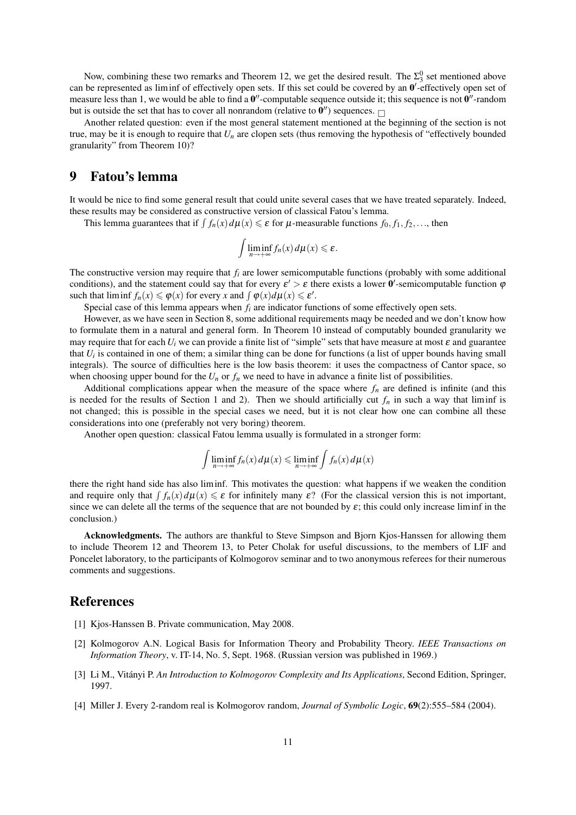Now, combining these two remarks and Theorem 12, we get the desired result. The  $\Sigma_3^0$  set mentioned above can be represented as liminf of effectively open sets. If this set could be covered by an  $0'$ -effectively open set of measure less than 1, we would be able to find a  $0''$ -computable sequence outside it; this sequence is not  $0''$ -random but is outside the set that has to cover all nonrandom (relative to  $\mathbf{0}''$ ) sequences.

Another related question: even if the most general statement mentioned at the beginning of the section is not true, may be it is enough to require that  $U_n$  are clopen sets (thus removing the hypothesis of "effectively bounded granularity" from Theorem 10)?

### 9 Fatou's lemma

It would be nice to find some general result that could unite several cases that we have treated separately. Indeed, these results may be considered as constructive version of classical Fatou's lemma.

This lemma guarantees that if  $\int f_n(x) d\mu(x) \le \varepsilon$  for  $\mu$ -measurable functions  $f_0, f_1, f_2, \ldots$ , then

$$
\int \liminf_{n\to+\infty} f_n(x) \, d\mu(x) \leqslant \varepsilon.
$$

The constructive version may require that *f<sup>i</sup>* are lower semicomputable functions (probably with some additional conditions), and the statement could say that for every  $\varepsilon' > \varepsilon$  there exists a lower  $0'$ -semicomputable function  $\varphi$ such that  $\liminf f_n(x) \leq \varphi(x)$  for every *x* and  $\int \varphi(x) d\mu(x) \leq \varepsilon'$ .

Special case of this lemma appears when *f<sup>i</sup>* are indicator functions of some effectively open sets.

However, as we have seen in Section 8, some additional requirements maqy be needed and we don't know how to formulate them in a natural and general form. In Theorem 10 instead of computably bounded granularity we may require that for each  $U_i$  we can provide a finite list of "simple" sets that have measure at most  $\varepsilon$  and guarantee that  $U_i$  is contained in one of them; a similar thing can be done for functions (a list of upper bounds having small integrals). The source of difficulties here is the low basis theorem: it uses the compactness of Cantor space, so when choosing upper bound for the  $U_n$  or  $f_n$  we need to have in advance a finite list of possibilities.

Additional complications appear when the measure of the space where  $f_n$  are defined is infinite (and this is needed for the results of Section 1 and 2). Then we should artificially cut  $f_n$  in such a way that liminf is not changed; this is possible in the special cases we need, but it is not clear how one can combine all these considerations into one (preferably not very boring) theorem.

Another open question: classical Fatou lemma usually is formulated in a stronger form:

$$
\int \liminf_{n \to +\infty} f_n(x) \, d\mu(x) \le \liminf_{n \to +\infty} \int f_n(x) \, d\mu(x)
$$

there the right hand side has also liminf. This motivates the question: what happens if we weaken the condition and require only that  $\int f_n(x) d\mu(x) \le \varepsilon$  for infinitely many  $\varepsilon$ ? (For the classical version this is not important, since we can delete all the terms of the sequence that are not bounded by  $\varepsilon$ ; this could only increase liminf in the conclusion.)

Acknowledgments. The authors are thankful to Steve Simpson and Biorn Kios-Hanssen for allowing them to include Theorem 12 and Theorem 13, to Peter Cholak for useful discussions, to the members of LIF and Poncelet laboratory, to the participants of Kolmogorov seminar and to two anonymous referees for their numerous comments and suggestions.

#### References

- [1] Kjos-Hanssen B. Private communication, May 2008.
- [2] Kolmogorov A.N. Logical Basis for Information Theory and Probability Theory. *IEEE Transactions on Information Theory*, v. IT-14, No. 5, Sept. 1968. (Russian version was published in 1969.)
- [3] Li M., Vitányi P. An Introduction to Kolmogorov Complexity and Its Applications, Second Edition, Springer, 1997.
- [4] Miller J. Every 2-random real is Kolmogorov random, *Journal of Symbolic Logic*, 69(2):555–584 (2004).